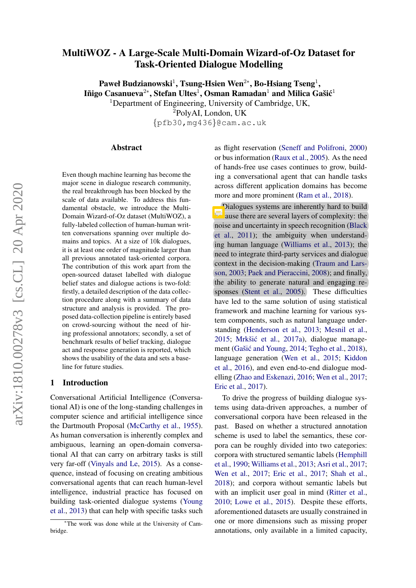# <span id="page-0-0"></span>MultiWOZ - A Large-Scale Multi-Domain Wizard-of-Oz Dataset for Task-Oriented Dialogue Modelling

Paweł Budzianowski<sup>1</sup>, Tsung-Hsien Wen<sup>2</sup>\*, Bo-Hsiang Tseng<sup>1</sup>, Iñigo Casanueva $^{2*}$ , Stefan Ultes $^{1}$ , Osman Ramadan $^{1}$  and Milica Gašić $^{1}$ <sup>1</sup>Department of Engineering, University of Cambridge, UK,

<sup>2</sup>PolyAI, London, UK

{pfb30,mg436}@cam.ac.uk

#### Abstract

Even though machine learning has become the major scene in dialogue research community, the real breakthrough has been blocked by the scale of data available. To address this fundamental obstacle, we introduce the Multi-Domain Wizard-of-Oz dataset (MultiWOZ), a fully-labeled collection of human-human written conversations spanning over multiple domains and topics. At a size of 10k dialogues, it is at least one order of magnitude larger than all previous annotated task-oriented corpora. The contribution of this work apart from the open-sourced dataset labelled with dialogue belief states and dialogue actions is two-fold: firstly, a detailed description of the data collection procedure along with a summary of data structure and analysis is provided. The proposed data-collection pipeline is entirely based on crowd-sourcing without the need of hiring professional annotators; secondly, a set of benchmark results of belief tracking, dialogue act and response generation is reported, which shows the usability of the data and sets a baseline for future studies.

## 1 Introduction

Conversational Artificial Intelligence (Conversational AI) is one of the long-standing challenges in computer science and artificial intelligence since the Dartmouth Proposal [\(McCarthy et al.,](#page-10-0) [1955\)](#page-10-0). As human conversation is inherently complex and ambiguous, learning an open-domain conversational AI that can carry on arbitrary tasks is still very far-off [\(Vinyals and Le,](#page-10-1) [2015\)](#page-10-1). As a consequence, instead of focusing on creating ambitious conversational agents that can reach human-level intelligence, industrial practice has focused on building task-oriented dialogue systems [\(Young](#page-11-0) [et al.,](#page-11-0) [2013\)](#page-11-0) that can help with specific tasks such

as flight reservation [\(Seneff and Polifroni,](#page-10-2) [2000\)](#page-10-2) or bus information [\(Raux et al.,](#page-10-3) [2005\)](#page-10-3). As the need of hands-free use cases continues to grow, building a conversational agent that can handle tasks across different application domains has become more and more prominent [\(Ram et al.,](#page-10-4) [2018\)](#page-10-4).

Dialogues systems are inherently hard to build  $\sqrt{5}$  ause there are several layers of complexity: the noise and uncertainty in speech recognition [\(Black](#page-9-0) [et al.,](#page-9-0) [2011\)](#page-9-0); the ambiguity when understanding human language [\(Williams et al.,](#page-11-1) [2013\)](#page-11-1); the need to integrate third-party services and dialogue context in the decision-making [\(Traum and Lars](#page-10-5)[son,](#page-10-5) [2003;](#page-10-5) [Paek and Pieraccini,](#page-10-6) [2008\)](#page-10-6); and finally, the ability to generate natural and engaging responses [\(Stent et al.,](#page-10-7) [2005\)](#page-10-7). These difficulties have led to the same solution of using statistical framework and machine learning for various system components, such as natural language understanding [\(Henderson et al.,](#page-9-1) [2013;](#page-9-1) [Mesnil et al.,](#page-10-8) [2015;](#page-10-8) Mrkšić et al., [2017a\)](#page-10-9), dialogue manage-ment (Gašić and Young, [2014;](#page-9-2) [Tegho et al.,](#page-10-10) [2018\)](#page-10-10), language generation [\(Wen et al.,](#page-11-2) [2015;](#page-11-2) [Kiddon](#page-9-3) [et al.,](#page-9-3) [2016\)](#page-9-3), and even end-to-end dialogue modelling [\(Zhao and Eskenazi,](#page-11-3) [2016;](#page-11-3) [Wen et al.,](#page-11-4) [2017;](#page-11-4) [Eric et al.,](#page-9-4) [2017\)](#page-9-4).

To drive the progress of building dialogue systems using data-driven approaches, a number of conversational corpora have been released in the past. Based on whether a structured annotation scheme is used to label the semantics, these corpora can be roughly divided into two categories: corpora with structured semantic labels [\(Hemphill](#page-9-5) [et al.,](#page-9-5) [1990;](#page-9-5) [Williams et al.,](#page-11-1) [2013;](#page-11-1) [Asri et al.,](#page-9-6) [2017;](#page-9-6) [Wen et al.,](#page-11-4) [2017;](#page-11-4) [Eric et al.,](#page-9-4) [2017;](#page-9-4) [Shah et al.,](#page-10-11) [2018\)](#page-10-11); and corpora without semantic labels but with an implicit user goal in mind [\(Ritter et al.,](#page-10-12) [2010;](#page-10-12) [Lowe et al.,](#page-9-7) [2015\)](#page-9-7). Despite these efforts, aforementioned datasets are usually constrained in one or more dimensions such as missing proper annotations, only available in a limited capacity,

<sup>∗</sup>The work was done while at the University of Cambridge.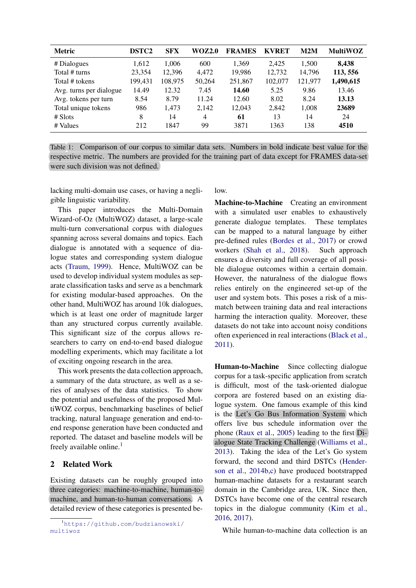<span id="page-1-0"></span>

| <b>Metric</b>           | <b>DSTC2</b> | <b>SFX</b> | <b>WOZ2.0</b>  | <b>FRAMES</b> | <b>KVRET</b> | M2M     | <b>MultiWOZ</b> |
|-------------------------|--------------|------------|----------------|---------------|--------------|---------|-----------------|
| # Dialogues             | 1,612        | 1.006      | 600            | 1,369         | 2.425        | 1,500   | 8,438           |
| Total # turns           | 23,354       | 12,396     | 4.472          | 19,986        | 12,732       | 14,796  | 113,556         |
| Total # tokens          | 199,431      | 108,975    | 50,264         | 251,867       | 102,077      | 121,977 | 1,490,615       |
| Avg. turns per dialogue | 14.49        | 12.32      | 7.45           | 14.60         | 5.25         | 9.86    | 13.46           |
| Avg. tokens per turn    | 8.54         | 8.79       | 11.24          | 12.60         | 8.02         | 8.24    | 13.13           |
| Total unique tokens     | 986          | 1,473      | 2,142          | 12,043        | 2,842        | 1,008   | 23689           |
| $#$ Slots               | 8            | 14         | $\overline{4}$ | 61            | 13           | 14      | 24              |
| # Values                | 212          | 847        | 99             | 3871          | 1363         | 138     | 4510            |

Table 1: Comparison of our corpus to similar data sets. Numbers in bold indicate best value for the respective metric. The numbers are provided for the training part of data except for FRAMES data-set were such division was not defined.

lacking multi-domain use cases, or having a negligible linguistic variability.

This paper introduces the Multi-Domain Wizard-of-Oz (MultiWOZ) dataset, a large-scale multi-turn conversational corpus with dialogues spanning across several domains and topics. Each dialogue is annotated with a sequence of dialogue states and corresponding system dialogue acts [\(Traum,](#page-10-13) [1999\)](#page-10-13). Hence, MultiWOZ can be used to develop individual system modules as separate classification tasks and serve as a benchmark for existing modular-based approaches. On the other hand, MultiWOZ has around 10k dialogues, which is at least one order of magnitude larger than any structured corpus currently available. This significant size of the corpus allows researchers to carry on end-to-end based dialogue modelling experiments, which may facilitate a lot of exciting ongoing research in the area.

This work presents the data collection approach, a summary of the data structure, as well as a series of analyses of the data statistics. To show the potential and usefulness of the proposed MultiWOZ corpus, benchmarking baselines of belief tracking, natural language generation and end-toend response generation have been conducted and reported. The dataset and baseline models will be freely available online.<sup>[1](#page-0-0)</sup>

#### 2 Related Work

Existing datasets can be roughly grouped into three categories: machine-to-machine, human-tomachine, and human-to-human conversations. A detailed review of these categories is presented below.

Machine-to-Machine Creating an environment with a simulated user enables to exhaustively generate dialogue templates. These templates can be mapped to a natural language by either pre-defined rules [\(Bordes et al.,](#page-9-8) [2017\)](#page-9-8) or crowd workers [\(Shah et al.,](#page-10-11) [2018\)](#page-10-11). Such approach ensures a diversity and full coverage of all possible dialogue outcomes within a certain domain. However, the naturalness of the dialogue flows relies entirely on the engineered set-up of the user and system bots. This poses a risk of a mismatch between training data and real interactions harming the interaction quality. Moreover, these datasets do not take into account noisy conditions often experienced in real interactions [\(Black et al.,](#page-9-0) [2011\)](#page-9-0).

Human-to-Machine Since collecting dialogue corpus for a task-specific application from scratch is difficult, most of the task-oriented dialogue corpora are fostered based on an existing dialogue system. One famous example of this kind is the Let's Go Bus Information System which offers live bus schedule information over the phone [\(Raux et al.,](#page-10-3) [2005\)](#page-10-3) leading to the first Dialogue State Tracking Challenge [\(Williams et al.,](#page-11-1) [2013\)](#page-11-1). Taking the idea of the Let's Go system forward, the second and third DSTCs [\(Hender](#page-9-9)[son et al.,](#page-9-9) [2014b,](#page-9-9)[c\)](#page-9-10) have produced bootstrapped human-machine datasets for a restaurant search domain in the Cambridge area, UK. Since then, DSTCs have become one of the central research topics in the dialogue community [\(Kim et al.,](#page-9-11) [2016,](#page-9-11) [2017\)](#page-9-12).

While human-to-machine data collection is an

<sup>1</sup>[https://github.com/budzianowski/](https://github.com/budzianowski/multiwoz) [multiwoz](https://github.com/budzianowski/multiwoz)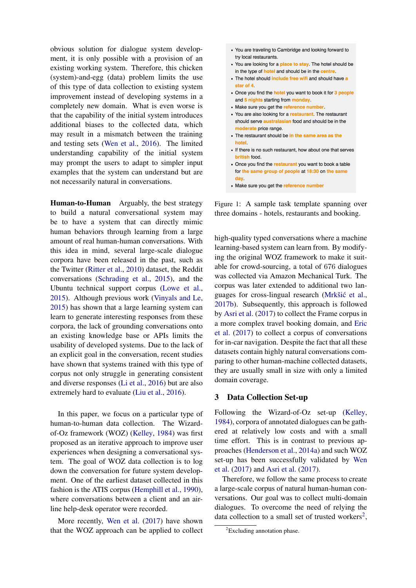obvious solution for dialogue system development, it is only possible with a provision of an existing working system. Therefore, this chicken (system)-and-egg (data) problem limits the use of this type of data collection to existing system improvement instead of developing systems in a completely new domain. What is even worse is that the capability of the initial system introduces additional biases to the collected data, which may result in a mismatch between the training and testing sets [\(Wen et al.,](#page-11-5) [2016\)](#page-11-5). The limited understanding capability of the initial system may prompt the users to adapt to simpler input examples that the system can understand but are not necessarily natural in conversations.

Human-to-Human Arguably, the best strategy to build a natural conversational system may be to have a system that can directly mimic human behaviors through learning from a large amount of real human-human conversations. With this idea in mind, several large-scale dialogue corpora have been released in the past, such as the Twitter [\(Ritter et al.,](#page-10-12) [2010\)](#page-10-12) dataset, the Reddit conversations [\(Schrading et al.,](#page-10-14) [2015\)](#page-10-14), and the Ubuntu technical support corpus [\(Lowe et al.,](#page-9-7) [2015\)](#page-9-7). Although previous work [\(Vinyals and Le,](#page-10-1) [2015\)](#page-10-1) has shown that a large learning system can learn to generate interesting responses from these corpora, the lack of grounding conversations onto an existing knowledge base or APIs limits the usability of developed systems. Due to the lack of an explicit goal in the conversation, recent studies have shown that systems trained with this type of corpus not only struggle in generating consistent and diverse responses [\(Li et al.,](#page-9-13) [2016\)](#page-9-13) but are also extremely hard to evaluate [\(Liu et al.,](#page-9-14) [2016\)](#page-9-14).

In this paper, we focus on a particular type of human-to-human data collection. The Wizardof-Oz framework (WOZ) [\(Kelley,](#page-9-15) [1984\)](#page-9-15) was first proposed as an iterative approach to improve user experiences when designing a conversational system. The goal of WOZ data collection is to log down the conversation for future system development. One of the earliest dataset collected in this fashion is the ATIS corpus [\(Hemphill et al.,](#page-9-5) [1990\)](#page-9-5), where conversations between a client and an airline help-desk operator were recorded.

More recently, [Wen et al.](#page-11-4) [\(2017\)](#page-11-4) have shown that the WOZ approach can be applied to collect

- <span id="page-2-0"></span>• You are traveling to Cambridge and looking forward to try local restaurants.
- You are looking for a place to stay. The hotel should be in the type of **hotel** and should be in the centre.
- The hotel should include free wifi and should have a star of 4
- Once you find the **hotel** you want to book it for 3 people and 5 nights starting from monday.
- Make sure you get the reference number.
- You are also looking for a restaurant. The restaurant should serve australasian food and should be in the moderate price range.
- The restaurant should be in the same area as the hotel.
- If there is no such restaurant, how about one that serves british food.
- Once you find the restaurant you want to book a table for the same group of people at 18:30 on the same day.
- Make sure you get the reference number

Figure 1: A sample task template spanning over three domains - hotels, restaurants and booking.

high-quality typed conversations where a machine learning-based system can learn from. By modifying the original WOZ framework to make it suitable for crowd-sourcing, a total of 676 dialogues was collected via Amazon Mechanical Turk. The corpus was later extended to additional two languages for cross-lingual research (Mrkšić et al., [2017b\)](#page-10-15). Subsequently, this approach is followed by [Asri et al.](#page-9-6) [\(2017\)](#page-9-6) to collect the Frame corpus in a more complex travel booking domain, and [Eric](#page-9-4) [et al.](#page-9-4) [\(2017\)](#page-9-4) to collect a corpus of conversations for in-car navigation. Despite the fact that all these datasets contain highly natural conversations comparing to other human-machine collected datasets, they are usually small in size with only a limited domain coverage.

## 3 Data Collection Set-up

Following the Wizard-of-Oz set-up [\(Kelley,](#page-9-15) [1984\)](#page-9-15), corpora of annotated dialogues can be gathered at relatively low costs and with a small time effort. This is in contrast to previous approaches [\(Henderson et al.,](#page-9-16) [2014a\)](#page-9-16) and such WOZ set-up has been successfully validated by [Wen](#page-11-4) [et al.](#page-11-4) [\(2017\)](#page-11-4) and [Asri et al.](#page-9-6) [\(2017\)](#page-9-6).

Therefore, we follow the same process to create a large-scale corpus of natural human-human conversations. Our goal was to collect multi-domain dialogues. To overcome the need of relying the data collection to a small set of trusted workers<sup>[2](#page-0-0)</sup>,

<sup>&</sup>lt;sup>2</sup>Excluding annotation phase.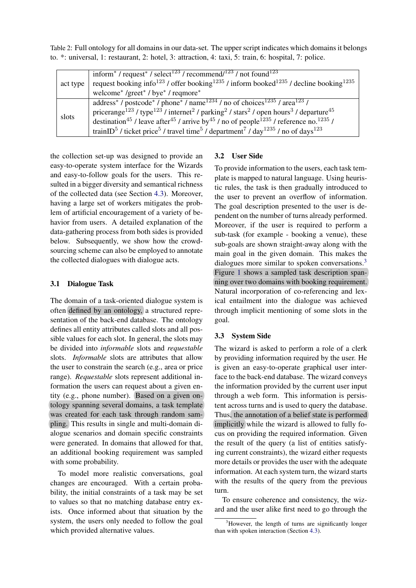<span id="page-3-0"></span>Table 2: Full ontology for all domains in our data-set. The upper script indicates which domains it belongs to. \*: universal, 1: restaurant, 2: hotel, 3: attraction, 4: taxi, 5: train, 6: hospital, 7: police.

|          | inform <sup>*</sup> / request <sup>*</sup> / select <sup>123</sup> / recommend/ <sup>123</sup> / not found <sup>123</sup>                                               |
|----------|-------------------------------------------------------------------------------------------------------------------------------------------------------------------------|
| act type | request booking info <sup>123</sup> / offer booking <sup>1235</sup> / inform booked <sup>1235</sup> / decline booking <sup>1235</sup>                                   |
|          | welcome* /greet* / bye* / reqmore*                                                                                                                                      |
| slots    | address <sup>*</sup> / postcode <sup>*</sup> / phone <sup>*</sup> / name <sup>1234</sup> / no of choices <sup>1235</sup> / area <sup>123</sup> /                        |
|          | pricerange <sup>123</sup> / type <sup>123</sup> / internet <sup>2</sup> / parking <sup>2</sup> / stars <sup>2</sup> / open hours <sup>3</sup> / departure <sup>45</sup> |
|          | destination <sup>45</sup> / leave after <sup>45</sup> / arrive by <sup>45</sup> / no of people <sup>1235</sup> / reference no. <sup>1235</sup> /                        |
|          | trainID <sup>5</sup> / ticket price <sup>5</sup> / travel time <sup>5</sup> / department <sup>7</sup> / day <sup>1235</sup> / no of days <sup>123</sup>                 |

the collection set-up was designed to provide an easy-to-operate system interface for the Wizards and easy-to-follow goals for the users. This resulted in a bigger diversity and semantical richness of the collected data (see Section [4.3\)](#page-6-0). Moreover, having a large set of workers mitigates the problem of artificial encouragement of a variety of behavior from users. A detailed explanation of the data-gathering process from both sides is provided below. Subsequently, we show how the crowdsourcing scheme can also be employed to annotate the collected dialogues with dialogue acts.

## <span id="page-3-1"></span>3.1 Dialogue Task

The domain of a task-oriented dialogue system is often defined by an ontology, a structured representation of the back-end database. The ontology defines all entity attributes called slots and all possible values for each slot. In general, the slots may be divided into *informable* slots and *requestable* slots. *Informable* slots are attributes that allow the user to constrain the search (e.g., area or price range). *Requestable* slots represent additional information the users can request about a given entity (e.g., phone number). Based on a given ontology spanning several domains, a task template was created for each task through random sampling. This results in single and multi-domain dialogue scenarios and domain specific constraints were generated. In domains that allowed for that, an additional booking requirement was sampled with some probability.

To model more realistic conversations, goal changes are encouraged. With a certain probability, the initial constraints of a task may be set to values so that no matching database entry exists. Once informed about that situation by the system, the users only needed to follow the goal which provided alternative values.

## 3.2 User Side

To provide information to the users, each task template is mapped to natural language. Using heuristic rules, the task is then gradually introduced to the user to prevent an overflow of information. The goal description presented to the user is dependent on the number of turns already performed. Moreover, if the user is required to perform a sub-task (for example - booking a venue), these sub-goals are shown straight-away along with the main goal in the given domain. This makes the dialogues more similar to spoken conversations.<sup>[3](#page-0-0)</sup> Figure [1](#page-2-0) shows a sampled task description spanning over two domains with booking requirement. Natural incorporation of co-referencing and lexical entailment into the dialogue was achieved through implicit mentioning of some slots in the goal.

## <span id="page-3-2"></span>3.3 System Side

The wizard is asked to perform a role of a clerk by providing information required by the user. He is given an easy-to-operate graphical user interface to the back-end database. The wizard conveys the information provided by the current user input through a web form. This information is persistent across turns and is used to query the database. Thus, the annotation of a belief state is performed implicitly while the wizard is allowed to fully focus on providing the required information. Given the result of the query (a list of entities satisfying current constraints), the wizard either requests more details or provides the user with the adequate information. At each system turn, the wizard starts with the results of the query from the previous turn.

To ensure coherence and consistency, the wizard and the user alike first need to go through the

<sup>&</sup>lt;sup>3</sup>However, the length of turns are significantly longer than with spoken interaction (Section [4.3\)](#page-6-0).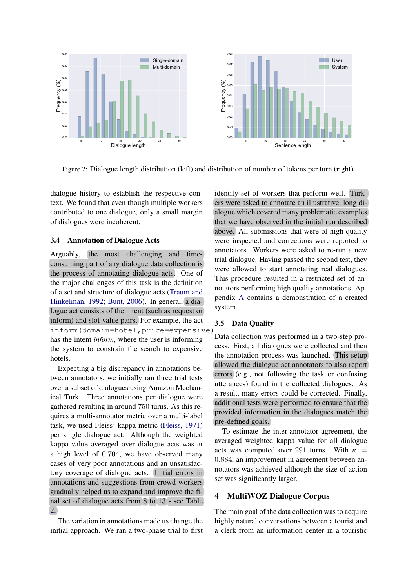<span id="page-4-0"></span>

Figure 2: Dialogue length distribution (left) and distribution of number of tokens per turn (right).

dialogue history to establish the respective context. We found that even though multiple workers contributed to one dialogue, only a small margin of dialogues were incoherent.

#### 3.4 Annotation of Dialogue Acts

Arguably, the most challenging and timeconsuming part of any dialogue data collection is the process of annotating dialogue acts. One of the major challenges of this task is the definition of a set and structure of dialogue acts [\(Traum and](#page-10-16) [Hinkelman,](#page-10-16) [1992;](#page-10-16) [Bunt,](#page-9-17) [2006\)](#page-9-17). In general, a dialogue act consists of the intent (such as request or inform) and slot-value pairs. For example, the act inform(domain=hotel,price=expensive) has the intent *inform*, where the user is informing the system to constrain the search to expensive hotels.

Expecting a big discrepancy in annotations between annotators, we initially ran three trial tests over a subset of dialogues using Amazon Mechanical Turk. Three annotations per dialogue were gathered resulting in around 750 turns. As this requires a multi-annotator metric over a multi-label task, we used Fleiss' kappa metric [\(Fleiss,](#page-9-18) [1971\)](#page-9-18) per single dialogue act. Although the weighted kappa value averaged over dialogue acts was at a high level of 0.704, we have observed many cases of very poor annotations and an unsatisfactory coverage of dialogue acts. Initial errors in annotations and suggestions from crowd workers gradually helped us to expand and improve the final set of dialogue acts from 8 to 13 - see Table [2.](#page-3-0)

The variation in annotations made us change the initial approach. We ran a two-phase trial to first

identify set of workers that perform well. Turkers were asked to annotate an illustrative, long dialogue which covered many problematic examples that we have observed in the initial run described above. All submissions that were of high quality were inspected and corrections were reported to annotators. Workers were asked to re-run a new trial dialogue. Having passed the second test, they were allowed to start annotating real dialogues. This procedure resulted in a restricted set of annotators performing high quality annotations. Appendix [A](#page-12-0) contains a demonstration of a created system.

## 3.5 Data Quality

Data collection was performed in a two-step process. First, all dialogues were collected and then the annotation process was launched. This setup allowed the dialogue act annotators to also report errors (e.g., not following the task or confusing utterances) found in the collected dialogues. As a result, many errors could be corrected. Finally, additional tests were performed to ensure that the provided information in the dialogues match the pre-defined goals.

To estimate the inter-annotator agreement, the averaged weighted kappa value for all dialogue acts was computed over 291 turns. With  $\kappa =$ 0.884, an improvement in agreement between annotators was achieved although the size of action set was significantly larger.

#### 4 MultiWOZ Dialogue Corpus

The main goal of the data collection was to acquire highly natural conversations between a tourist and a clerk from an information center in a touristic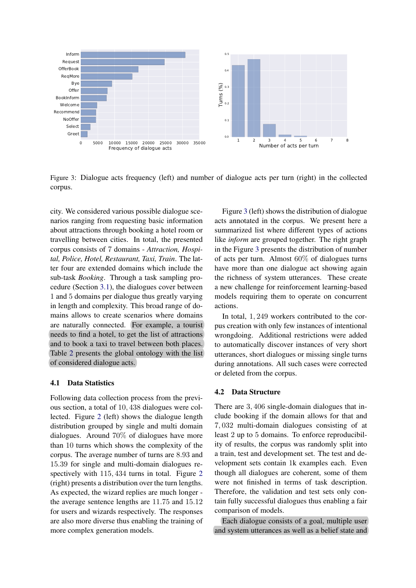<span id="page-5-0"></span>

Figure 3: Dialogue acts frequency (left) and number of dialogue acts per turn (right) in the collected corpus.

city. We considered various possible dialogue scenarios ranging from requesting basic information about attractions through booking a hotel room or travelling between cities. In total, the presented corpus consists of 7 domains - *Attraction, Hospital, Police, Hotel, Restaurant, Taxi, Train*. The latter four are extended domains which include the sub-task *Booking*. Through a task sampling procedure (Section [3.1\)](#page-3-1), the dialogues cover between 1 and 5 domains per dialogue thus greatly varying in length and complexity. This broad range of domains allows to create scenarios where domains are naturally connected. For example, a tourist needs to find a hotel, to get the list of attractions and to book a taxi to travel between both places. Table [2](#page-3-0) presents the global ontology with the list of considered dialogue acts.

#### 4.1 Data Statistics

Following data collection process from the previous section, a total of 10, 438 dialogues were collected. Figure [2](#page-4-0) (left) shows the dialogue length distribution grouped by single and multi domain dialogues. Around 70% of dialogues have more than 10 turns which shows the complexity of the corpus. The average number of turns are 8.93 and 15.39 for single and multi-domain dialogues respectively with 115, 434 turns in total. Figure [2](#page-4-0) (right) presents a distribution over the turn lengths. As expected, the wizard replies are much longer the average sentence lengths are 11.75 and 15.12 for users and wizards respectively. The responses are also more diverse thus enabling the training of more complex generation models.

Figure [3](#page-5-0) (left) shows the distribution of dialogue acts annotated in the corpus. We present here a summarized list where different types of actions like *inform* are grouped together. The right graph in the Figure [3](#page-5-0) presents the distribution of number of acts per turn. Almost 60% of dialogues turns have more than one dialogue act showing again the richness of system utterances. These create a new challenge for reinforcement learning-based models requiring them to operate on concurrent actions.

In total, 1, 249 workers contributed to the corpus creation with only few instances of intentional wrongdoing. Additional restrictions were added to automatically discover instances of very short utterances, short dialogues or missing single turns during annotations. All such cases were corrected or deleted from the corpus.

#### 4.2 Data Structure

There are 3, 406 single-domain dialogues that include booking if the domain allows for that and 7, 032 multi-domain dialogues consisting of at least 2 up to 5 domains. To enforce reproducibility of results, the corpus was randomly split into a train, test and development set. The test and development sets contain 1k examples each. Even though all dialogues are coherent, some of them were not finished in terms of task description. Therefore, the validation and test sets only contain fully successful dialogues thus enabling a fair comparison of models.

Each dialogue consists of a goal, multiple user and system utterances as well as a belief state and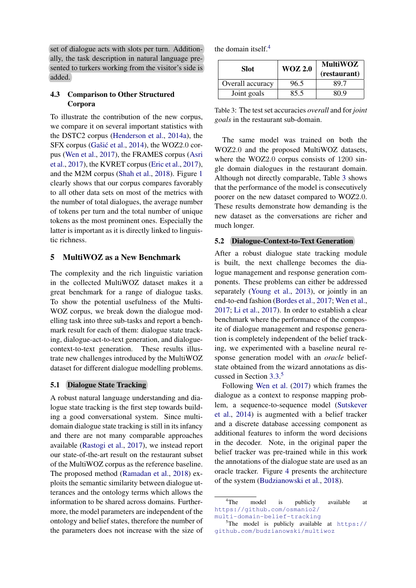set of dialogue acts with slots per turn. Additionally, the task description in natural language presented to turkers working from the visitor's side is added.

## <span id="page-6-0"></span>4.3 Comparison to Other Structured Corpora

To illustrate the contribution of the new corpus, we compare it on several important statistics with the DSTC2 corpus [\(Henderson et al.,](#page-9-16) [2014a\)](#page-9-16), the SFX corpus (Gašić et al., [2014\)](#page-9-19), the WOZ2.0 corpus [\(Wen et al.,](#page-11-4) [2017\)](#page-11-4), the FRAMES corpus [\(Asri](#page-9-6) [et al.,](#page-9-6) [2017\)](#page-9-6), the KVRET corpus [\(Eric et al.,](#page-9-4) [2017\)](#page-9-4), and the M2M corpus [\(Shah et al.,](#page-10-11) [2018\)](#page-10-11). Figure [1](#page-1-0) clearly shows that our corpus compares favorably to all other data sets on most of the metrics with the number of total dialogues, the average number of tokens per turn and the total number of unique tokens as the most prominent ones. Especially the latter is important as it is directly linked to linguistic richness.

## 5 MultiWOZ as a New Benchmark

The complexity and the rich linguistic variation in the collected MultiWOZ dataset makes it a great benchmark for a range of dialogue tasks. To show the potential usefulness of the Multi-WOZ corpus, we break down the dialogue modelling task into three sub-tasks and report a benchmark result for each of them: dialogue state tracking, dialogue-act-to-text generation, and dialoguecontext-to-text generation. These results illustrate new challenges introduced by the MultiWOZ dataset for different dialogue modelling problems.

#### 5.1 Dialogue State Tracking

A robust natural language understanding and dialogue state tracking is the first step towards building a good conversational system. Since multidomain dialogue state tracking is still in its infancy and there are not many comparable approaches available [\(Rastogi et al.,](#page-10-17) [2017\)](#page-10-17), we instead report our state-of-the-art result on the restaurant subset of the MultiWOZ corpus as the reference baseline. The proposed method [\(Ramadan et al.,](#page-10-18) [2018\)](#page-10-18) exploits the semantic similarity between dialogue utterances and the ontology terms which allows the information to be shared across domains. Furthermore, the model parameters are independent of the ontology and belief states, therefore the number of the parameters does not increase with the size of the domain itself.[4](#page-0-0)

<span id="page-6-1"></span>

| Slot:            | <b>WOZ 2.0</b> | <b>MultiWOZ</b><br>(restaurant) |  |
|------------------|----------------|---------------------------------|--|
| Overall accuracy | 96.5           | 89.7                            |  |
| Joint goals      | 85.5           | 80 9                            |  |

Table 3: The test set accuracies *overall* and for *joint goals* in the restaurant sub-domain.

The same model was trained on both the WOZ2.0 and the proposed MultiWOZ datasets, where the WOZ2.0 corpus consists of 1200 single domain dialogues in the restaurant domain. Although not directly comparable, Table [3](#page-6-1) shows that the performance of the model is consecutively poorer on the new dataset compared to WOZ2.0. These results demonstrate how demanding is the new dataset as the conversations are richer and much longer.

#### 5.2 Dialogue-Context-to-Text Generation

After a robust dialogue state tracking module is built, the next challenge becomes the dialogue management and response generation components. These problems can either be addressed separately [\(Young et al.,](#page-11-0) [2013\)](#page-11-0), or jointly in an end-to-end fashion [\(Bordes et al.,](#page-9-8) [2017;](#page-9-8) [Wen et al.,](#page-11-4) [2017;](#page-11-4) [Li et al.,](#page-9-20) [2017\)](#page-9-20). In order to establish a clear benchmark where the performance of the composite of dialogue management and response generation is completely independent of the belief tracking, we experimented with a baseline neural response generation model with an *oracle* beliefstate obtained from the wizard annotations as discussed in Section [3.3.](#page-3-2) [5](#page-0-0)

Following [Wen et al.](#page-11-4) [\(2017\)](#page-11-4) which frames the dialogue as a context to response mapping problem, a sequence-to-sequence model [\(Sutskever](#page-10-19) [et al.,](#page-10-19) [2014\)](#page-10-19) is augmented with a belief tracker and a discrete database accessing component as additional features to inform the word decisions in the decoder. Note, in the original paper the belief tracker was pre-trained while in this work the annotations of the dialogue state are used as an oracle tracker. Figure [4](#page-7-0) presents the architecture of the system [\(Budzianowski et al.,](#page-9-21) [2018\)](#page-9-21).

<sup>&</sup>lt;sup>4</sup>The model is publicly available at [https://github.com/osmanio2/](https://github.com/osmanio2/multi-domain-belief-tracking) [multi-domain-belief-tracking](https://github.com/osmanio2/multi-domain-belief-tracking)

 $5$ The model is publicly available at [https://](https://github.com/budzianowski/multiwoz) [github.com/budzianowski/multiwoz](https://github.com/budzianowski/multiwoz)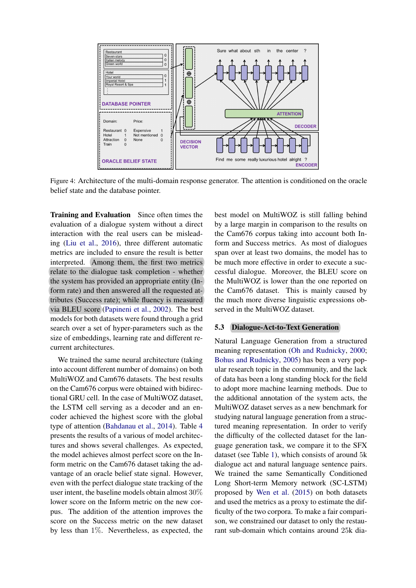<span id="page-7-0"></span>

Figure 4: Architecture of the multi-domain response generator. The attention is conditioned on the oracle belief state and the database pointer.

Training and Evaluation Since often times the evaluation of a dialogue system without a direct interaction with the real users can be misleading [\(Liu et al.,](#page-9-14) [2016\)](#page-9-14), three different automatic metrics are included to ensure the result is better interpreted. Among them, the first two metrics relate to the dialogue task completion - whether the system has provided an appropriate entity (Inform rate) and then answered all the requested attributes (Success rate); while fluency is measured via BLEU score [\(Papineni et al.,](#page-10-20) [2002\)](#page-10-20). The best models for both datasets were found through a grid search over a set of hyper-parameters such as the size of embeddings, learning rate and different recurrent architectures.

We trained the same neural architecture (taking into account different number of domains) on both MultiWOZ and Cam676 datasets. The best results on the Cam676 corpus were obtained with bidirectional GRU cell. In the case of MultiWOZ dataset, the LSTM cell serving as a decoder and an encoder achieved the highest score with the global type of attention [\(Bahdanau et al.,](#page-9-22) [2014\)](#page-9-22). Table [4](#page-8-0) presents the results of a various of model architectures and shows several challenges. As expected, the model achieves almost perfect score on the Inform metric on the Cam676 dataset taking the advantage of an oracle belief state signal. However, even with the perfect dialogue state tracking of the user intent, the baseline models obtain almost 30% lower score on the Inform metric on the new corpus. The addition of the attention improves the score on the Success metric on the new dataset by less than 1%. Nevertheless, as expected, the best model on MultiWOZ is still falling behind by a large margin in comparison to the results on the Cam676 corpus taking into account both Inform and Success metrics. As most of dialogues span over at least two domains, the model has to be much more effective in order to execute a successful dialogue. Moreover, the BLEU score on the MultiWOZ is lower than the one reported on the Cam676 dataset. This is mainly caused by the much more diverse linguistic expressions observed in the MultiWOZ dataset.

#### 5.3 Dialogue-Act-to-Text Generation

Natural Language Generation from a structured meaning representation [\(Oh and Rudnicky,](#page-10-21) [2000;](#page-10-21) [Bohus and Rudnicky,](#page-9-23) [2005\)](#page-9-23) has been a very popular research topic in the community, and the lack of data has been a long standing block for the field to adopt more machine learning methods. Due to the additional annotation of the system acts, the MultiWOZ dataset serves as a new benchmark for studying natural language generation from a structured meaning representation. In order to verify the difficulty of the collected dataset for the language generation task, we compare it to the SFX dataset (see Table [1\)](#page-1-0), which consists of around 5k dialogue act and natural language sentence pairs. We trained the same Semantically Conditioned Long Short-term Memory network (SC-LSTM) proposed by [Wen et al.](#page-11-2) [\(2015\)](#page-11-2) on both datasets and used the metrics as a proxy to estimate the difficulty of the two corpora. To make a fair comparison, we constrained our dataset to only the restaurant sub-domain which contains around 25k dia-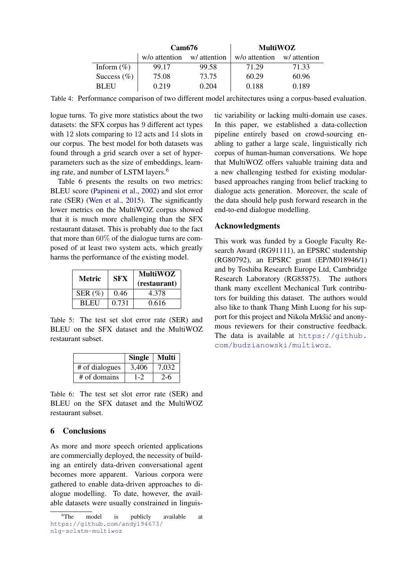<span id="page-8-0"></span>

|                | Cam676        |              | <b>MultiWOZ</b> |              |  |
|----------------|---------------|--------------|-----------------|--------------|--|
|                | w/o attention | w/ attention | w/o attention   | w/ attention |  |
| Inform $(\%)$  | 99.17         | 99.58        | 71.29           | 71.33        |  |
| Success $(\%)$ | 75.08         | 73.75        | 60.29           | 60.96        |  |
| <b>BLEU</b>    | 0.219         | 0.204        | 0.188           | 0.189        |  |

Table 4: Performance comparison of two different model architectures using a corpus-based evaluation.

logue turns. To give more statistics about the two datasets: the SFX corpus has 9 different act types with 12 slots comparing to 12 acts and 14 slots in our corpus. The best model for both datasets was found through a grid search over a set of hyperparameters such as the size of embeddings, learning rate, and number of LSTM layers.[6](#page-0-0)

Table [6](#page-8-1) presents the results on two metrics: BLEU score [\(Papineni et al.,](#page-10-20) [2002\)](#page-10-20) and slot error rate (SER) [\(Wen et al.,](#page-11-2) [2015\)](#page-11-2). The significantly lower metrics on the MultiWOZ corpus showed that it is much more challenging than the SFX restaurant dataset. This is probably due to the fact that more than 60% of the dialogue turns are composed of at least two system acts, which greatly harms the performance of the existing model.

| Metric      | <b>SFX</b> | <b>MultiWOZ</b><br>(restaurant) |
|-------------|------------|---------------------------------|
| SER $(\% )$ | 0.46       | 4.378                           |
| <b>BLEU</b> | 0.731      | 0.616                           |

Table 5: The test set slot error rate (SER) and BLEU on the SFX dataset and the MultiWOZ restaurant subset.

<span id="page-8-1"></span>

|                | <b>Single</b> | <b>Multi</b> |
|----------------|---------------|--------------|
| # of dialogues | 3,406         | 7,032        |
| $#$ of domains | $1 - 2$       | $2 - 6$      |

Table 6: The test set slot error rate (SER) and BLEU on the SFX dataset and the MultiWOZ restaurant subset.

## 6 Conclusions

As more and more speech oriented applications are commercially deployed, the necessity of building an entirely data-driven conversational agent becomes more apparent. Various corpora were gathered to enable data-driven approaches to dialogue modelling. To date, however, the available datasets were usually constrained in linguis-

tic variability or lacking multi-domain use cases. In this paper, we established a data-collection pipeline entirely based on crowd-sourcing enabling to gather a large scale, linguistically rich corpus of human-human conversations. We hope that MultiWOZ offers valuable training data and a new challenging testbed for existing modularbased approaches ranging from belief tracking to dialogue acts generation. Moreover, the scale of the data should help push forward research in the end-to-end dialogue modelling.

## Acknowledgments

This work was funded by a Google Faculty Research Award (RG91111), an EPSRC studentship (RG80792), an EPSRC grant (EP/M018946/1) and by Toshiba Research Europe Ltd, Cambridge Research Laboratory (RG85875). The authors thank many excellent Mechanical Turk contributors for building this dataset. The authors would also like to thank Thang Minh Luong for his support for this project and Nikola Mrkšić and anonymous reviewers for their constructive feedback. The data is available at [https://github.](https://github.com/budzianowski/multiwoz) [com/budzianowski/multiwoz](https://github.com/budzianowski/multiwoz).

<sup>&</sup>lt;sup>6</sup>The model is publicly available at [https://github.com/andy194673/](https://github.com/andy194673/nlg-sclstm-multiwoz) [nlg-sclstm-multiwoz](https://github.com/andy194673/nlg-sclstm-multiwoz)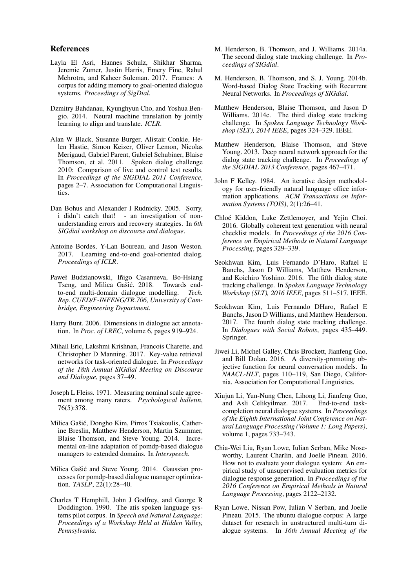#### References

- <span id="page-9-6"></span>Layla El Asri, Hannes Schulz, Shikhar Sharma, Jeremie Zumer, Justin Harris, Emery Fine, Rahul Mehrotra, and Kaheer Suleman. 2017. Frames: A corpus for adding memory to goal-oriented dialogue systems. *Proceedings of SigDial*.
- <span id="page-9-22"></span>Dzmitry Bahdanau, Kyunghyun Cho, and Yoshua Bengio. 2014. Neural machine translation by jointly learning to align and translate. *ICLR*.
- <span id="page-9-0"></span>Alan W Black, Susanne Burger, Alistair Conkie, Helen Hastie, Simon Keizer, Oliver Lemon, Nicolas Merigaud, Gabriel Parent, Gabriel Schubiner, Blaise Thomson, et al. 2011. Spoken dialog challenge 2010: Comparison of live and control test results. In *Proceedings of the SIGDIAL 2011 Conference*, pages 2–7. Association for Computational Linguistics.
- <span id="page-9-23"></span>Dan Bohus and Alexander I Rudnicky. 2005. Sorry, i didn't catch that! - an investigation of nonunderstanding errors and recovery strategies. In *6th SIGdial workshop on discourse and dialogue*.
- <span id="page-9-8"></span>Antoine Bordes, Y-Lan Boureau, and Jason Weston. 2017. Learning end-to-end goal-oriented dialog. *Proceedings of ICLR*.
- <span id="page-9-21"></span>Paweł Budzianowski, Iñigo Casanueva, Bo-Hsiang Tseng, and Milica Gašić. 2018. Towards endto-end multi-domain dialogue modelling. *Tech. Rep. CUED/F-INFENG/TR.706, University of Cambridge, Engineering Department*.
- <span id="page-9-17"></span>Harry Bunt. 2006. Dimensions in dialogue act annotation. In *Proc. of LREC*, volume 6, pages 919–924.
- <span id="page-9-4"></span>Mihail Eric, Lakshmi Krishnan, Francois Charette, and Christopher D Manning. 2017. Key-value retrieval networks for task-oriented dialogue. In *Proceedings of the 18th Annual SIGdial Meeting on Discourse and Dialogue*, pages 37–49.
- <span id="page-9-18"></span>Joseph L Fleiss. 1971. Measuring nominal scale agreement among many raters. *Psychological bulletin*, 76(5):378.
- <span id="page-9-19"></span>Milica Gašić, Dongho Kim, Pirros Tsiakoulis, Catherine Breslin, Matthew Henderson, Martin Szummer, Blaise Thomson, and Steve Young. 2014. Incremental on-line adaptation of pomdp-based dialogue managers to extended domains. In *Interspeech*.
- <span id="page-9-2"></span>Milica Gašić and Steve Young. 2014. Gaussian processes for pomdp-based dialogue manager optimization. *TASLP*, 22(1):28–40.
- <span id="page-9-5"></span>Charles T Hemphill, John J Godfrey, and George R Doddington. 1990. The atis spoken language systems pilot corpus. In *Speech and Natural Language: Proceedings of a Workshop Held at Hidden Valley, Pennsylvania*.
- <span id="page-9-16"></span>M. Henderson, B. Thomson, and J. Williams. 2014a. The second dialog state tracking challenge. In *Proceedings of SIGdial*.
- <span id="page-9-9"></span>M. Henderson, B. Thomson, and S. J. Young. 2014b. Word-based Dialog State Tracking with Recurrent Neural Networks. In *Proceedings of SIGdial*.
- <span id="page-9-10"></span>Matthew Henderson, Blaise Thomson, and Jason D Williams. 2014c. The third dialog state tracking challenge. In *Spoken Language Technology Workshop (SLT), 2014 IEEE*, pages 324–329. IEEE.
- <span id="page-9-1"></span>Matthew Henderson, Blaise Thomson, and Steve Young. 2013. Deep neural network approach for the dialog state tracking challenge. In *Proceedings of the SIGDIAL 2013 Conference*, pages 467–471.
- <span id="page-9-15"></span>John F Kelley. 1984. An iterative design methodology for user-friendly natural language office information applications. *ACM Transactions on Information Systems (TOIS)*, 2(1):26–41.
- <span id="page-9-3"></span>Chloe Kiddon, Luke Zettlemoyer, and Yejin Choi. ´ 2016. Globally coherent text generation with neural checklist models. In *Proceedings of the 2016 Conference on Empirical Methods in Natural Language Processing*, pages 329–339.
- <span id="page-9-11"></span>Seokhwan Kim, Luis Fernando D'Haro, Rafael E Banchs, Jason D Williams, Matthew Henderson, and Koichiro Yoshino. 2016. The fifth dialog state tracking challenge. In *Spoken Language Technology Workshop (SLT), 2016 IEEE*, pages 511–517. IEEE.
- <span id="page-9-12"></span>Seokhwan Kim, Luis Fernando DHaro, Rafael E Banchs, Jason D Williams, and Matthew Henderson. 2017. The fourth dialog state tracking challenge. In *Dialogues with Social Robots*, pages 435–449. Springer.
- <span id="page-9-13"></span>Jiwei Li, Michel Galley, Chris Brockett, Jianfeng Gao, and Bill Dolan. 2016. A diversity-promoting objective function for neural conversation models. In *NAACL-HLT*, pages 110–119, San Diego, California. Association for Computational Linguistics.
- <span id="page-9-20"></span>Xiujun Li, Yun-Nung Chen, Lihong Li, Jianfeng Gao, and Asli Celikyilmaz. 2017. End-to-end taskcompletion neural dialogue systems. In *Proceedings of the Eighth International Joint Conference on Natural Language Processing (Volume 1: Long Papers)*, volume 1, pages 733–743.
- <span id="page-9-14"></span>Chia-Wei Liu, Ryan Lowe, Iulian Serban, Mike Noseworthy, Laurent Charlin, and Joelle Pineau. 2016. How not to evaluate your dialogue system: An empirical study of unsupervised evaluation metrics for dialogue response generation. In *Proceedings of the 2016 Conference on Empirical Methods in Natural Language Processing*, pages 2122–2132.
- <span id="page-9-7"></span>Ryan Lowe, Nissan Pow, Iulian V Serban, and Joelle Pineau. 2015. The ubuntu dialogue corpus: A large dataset for research in unstructured multi-turn dialogue systems. In *16th Annual Meeting of the*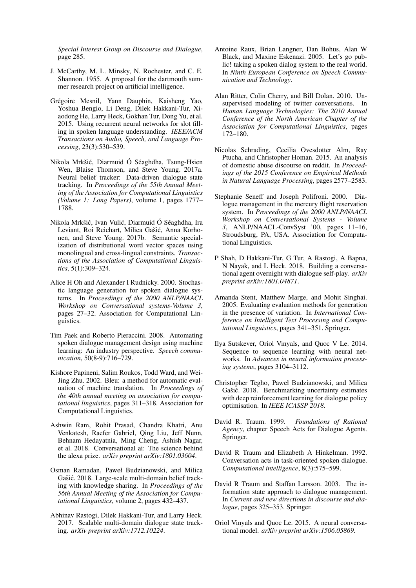*Special Interest Group on Discourse and Dialogue*, page 285.

- <span id="page-10-0"></span>J. McCarthy, M. L. Minsky, N. Rochester, and C. E. Shannon. 1955. A proposal for the dartmouth summer research project on artificial intelligence.
- <span id="page-10-8"></span>Grégoire Mesnil, Yann Dauphin, Kaisheng Yao, Yoshua Bengio, Li Deng, Dilek Hakkani-Tur, Xiaodong He, Larry Heck, Gokhan Tur, Dong Yu, et al. 2015. Using recurrent neural networks for slot filling in spoken language understanding. *IEEE/ACM Transactions on Audio, Speech, and Language Processing*, 23(3):530–539.
- <span id="page-10-9"></span>Nikola Mrkšić, Diarmuid Ó Séaghdha, Tsung-Hsien Wen, Blaise Thomson, and Steve Young. 2017a. Neural belief tracker: Data-driven dialogue state tracking. In *Proceedings of the 55th Annual Meeting of the Association for Computational Linguistics (Volume 1: Long Papers)*, volume 1, pages 1777– 1788.
- <span id="page-10-15"></span>Nikola Mrkšić, Ivan Vulić, Diarmuid Ó Séaghdha, Ira Leviant, Roi Reichart, Milica Gašić, Anna Korhonen, and Steve Young. 2017b. Semantic specialization of distributional word vector spaces using monolingual and cross-lingual constraints. *Transactions of the Association of Computational Linguistics*, 5(1):309–324.
- <span id="page-10-21"></span>Alice H Oh and Alexander I Rudnicky. 2000. Stochastic language generation for spoken dialogue systems. In *Proceedings of the 2000 ANLP/NAACL Workshop on Conversational systems-Volume 3*, pages 27–32. Association for Computational Linguistics.
- <span id="page-10-6"></span>Tim Paek and Roberto Pieraccini. 2008. Automating spoken dialogue management design using machine learning: An industry perspective. *Speech communication*, 50(8-9):716–729.
- <span id="page-10-20"></span>Kishore Papineni, Salim Roukos, Todd Ward, and Wei-Jing Zhu. 2002. Bleu: a method for automatic evaluation of machine translation. In *Proceedings of the 40th annual meeting on association for computational linguistics*, pages 311–318. Association for Computational Linguistics.
- <span id="page-10-4"></span>Ashwin Ram, Rohit Prasad, Chandra Khatri, Anu Venkatesh, Raefer Gabriel, Qing Liu, Jeff Nunn, Behnam Hedayatnia, Ming Cheng, Ashish Nagar, et al. 2018. Conversational ai: The science behind the alexa prize. *arXiv preprint arXiv:1801.03604*.
- <span id="page-10-18"></span>Osman Ramadan, Paweł Budzianowski, and Milica Gašić. 2018. Large-scale multi-domain belief tracking with knowledge sharing. In *Proceedings of the 56th Annual Meeting of the Association for Computational Linguistics*, volume 2, pages 432–437.
- <span id="page-10-17"></span>Abhinav Rastogi, Dilek Hakkani-Tur, and Larry Heck. 2017. Scalable multi-domain dialogue state tracking. *arXiv preprint arXiv:1712.10224*.
- <span id="page-10-3"></span>Antoine Raux, Brian Langner, Dan Bohus, Alan W Black, and Maxine Eskenazi. 2005. Let's go public! taking a spoken dialog system to the real world. In *Ninth European Conference on Speech Communication and Technology*.
- <span id="page-10-12"></span>Alan Ritter, Colin Cherry, and Bill Dolan. 2010. Unsupervised modeling of twitter conversations. In *Human Language Technologies: The 2010 Annual Conference of the North American Chapter of the Association for Computational Linguistics*, pages 172–180.
- <span id="page-10-14"></span>Nicolas Schrading, Cecilia Ovesdotter Alm, Ray Ptucha, and Christopher Homan. 2015. An analysis of domestic abuse discourse on reddit. In *Proceedings of the 2015 Conference on Empirical Methods in Natural Language Processing*, pages 2577–2583.
- <span id="page-10-2"></span>Stephanie Seneff and Joseph Polifroni. 2000. Dialogue management in the mercury flight reservation system. In *Proceedings of the 2000 ANLP/NAACL Workshop on Conversational Systems - Volume 3*, ANLP/NAACL-ConvSyst '00, pages 11–16, Stroudsburg, PA, USA. Association for Computational Linguistics.
- <span id="page-10-11"></span>P Shah, D Hakkani-Tur, G Tur, A Rastogi, A Bapna, N Nayak, and L Heck. 2018. Building a conversational agent overnight with dialogue self-play. *arXiv preprint arXiv:1801.04871*.
- <span id="page-10-7"></span>Amanda Stent, Matthew Marge, and Mohit Singhai. 2005. Evaluating evaluation methods for generation in the presence of variation. In *International Conference on Intelligent Text Processing and Computational Linguistics*, pages 341–351. Springer.
- <span id="page-10-19"></span>Ilya Sutskever, Oriol Vinyals, and Quoc V Le. 2014. Sequence to sequence learning with neural networks. In *Advances in neural information processing systems*, pages 3104–3112.
- <span id="page-10-10"></span>Christopher Tegho, Paweł Budzianowski, and Milica Gašić. 2018. Benchmarking uncertainty estimates with deep reinforcement learning for dialogue policy optimisation. In *IEEE ICASSP 2018*.
- <span id="page-10-13"></span>David R. Traum. 1999. *Foundations of Rational Agency*, chapter Speech Acts for Dialogue Agents. Springer.
- <span id="page-10-16"></span>David R Traum and Elizabeth A Hinkelman. 1992. Conversation acts in task-oriented spoken dialogue. *Computational intelligence*, 8(3):575–599.
- <span id="page-10-5"></span>David R Traum and Staffan Larsson. 2003. The information state approach to dialogue management. In *Current and new directions in discourse and dialogue*, pages 325–353. Springer.
- <span id="page-10-1"></span>Oriol Vinyals and Quoc Le. 2015. A neural conversational model. *arXiv preprint arXiv:1506.05869*.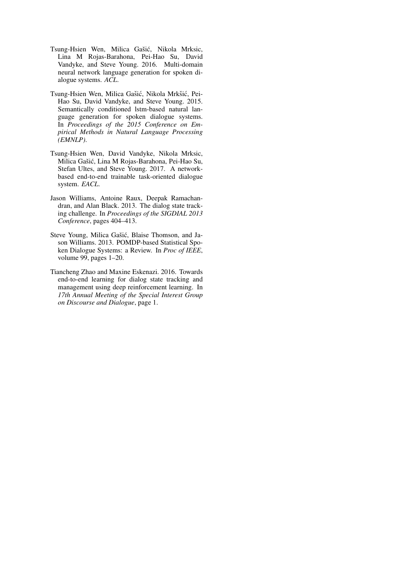- <span id="page-11-5"></span>Tsung-Hsien Wen, Milica Gašić, Nikola Mrksic, Lina M Rojas-Barahona, Pei-Hao Su, David Vandyke, and Steve Young. 2016. Multi-domain neural network language generation for spoken dialogue systems. *ACL*.
- <span id="page-11-2"></span>Tsung-Hsien Wen, Milica Gašić, Nikola Mrkšić, Pei-Hao Su, David Vandyke, and Steve Young. 2015. Semantically conditioned lstm-based natural language generation for spoken dialogue systems. In *Proceedings of the 2015 Conference on Empirical Methods in Natural Language Processing (EMNLP)*.
- <span id="page-11-4"></span>Tsung-Hsien Wen, David Vandyke, Nikola Mrksic, Milica Gašić, Lina M Rojas-Barahona, Pei-Hao Su, Stefan Ultes, and Steve Young. 2017. A networkbased end-to-end trainable task-oriented dialogue system. *EACL*.
- <span id="page-11-1"></span>Jason Williams, Antoine Raux, Deepak Ramachandran, and Alan Black. 2013. The dialog state tracking challenge. In *Proceedings of the SIGDIAL 2013 Conference*, pages 404–413.
- <span id="page-11-0"></span>Steve Young, Milica Gašić, Blaise Thomson, and Jason Williams. 2013. POMDP-based Statistical Spoken Dialogue Systems: a Review. In *Proc of IEEE*, volume 99, pages 1–20.
- <span id="page-11-3"></span>Tiancheng Zhao and Maxine Eskenazi. 2016. Towards end-to-end learning for dialog state tracking and management using deep reinforcement learning. In *17th Annual Meeting of the Special Interest Group on Discourse and Dialogue*, page 1.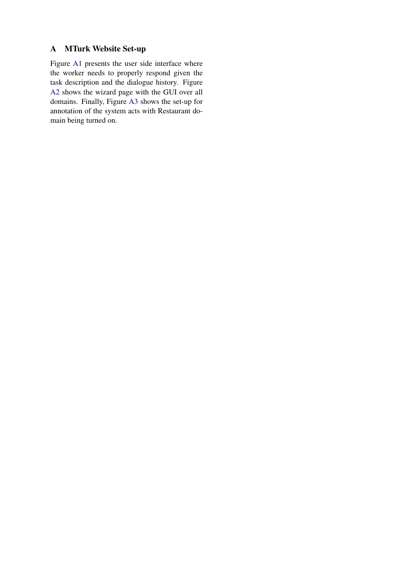# <span id="page-12-0"></span>A MTurk Website Set-up

Figure [A1](#page-13-0) presents the user side interface where the worker needs to properly respond given the task description and the dialogue history. Figure [A2](#page-13-1) shows the wizard page with the GUI over all domains. Finally, Figure [A3](#page-13-2) shows the set-up for annotation of the system acts with Restaurant domain being turned on.